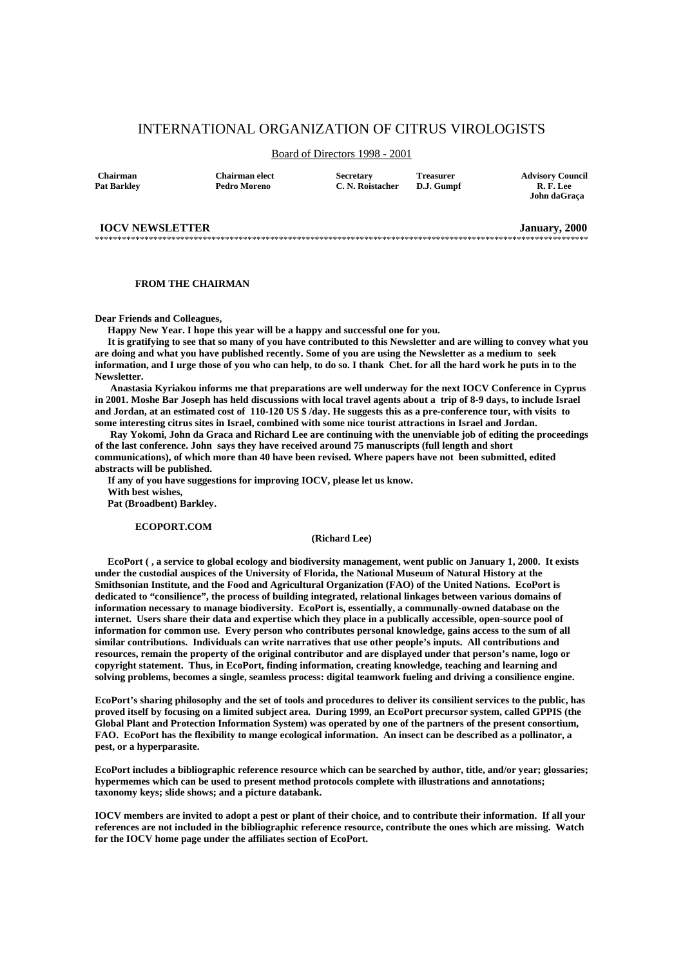# INTERNATIONAL ORGANIZATION OF CITRUS VIROLOGISTS

# Board of Directors 1998 - 2001

\*\*\*\*\*\*\*\*\*\*\*\*\*\*\*\*\*\*\*\*\*\*\*\*\*\*\*\*\*\*\*\*\*\*\*\*\*\*\*\*\*\*\*\*\*\*\*\*\*\*\*\*\*\*\*\*\*\*\*\*\*\*\*\*\*\*\*\*\*\*\*\*\*\*\*\*\*\*\*\*\*\*\*\*\*\*\*\*\*\*\*\*\*\*\*\*\*\*\*\*\*\*\*\*\*\*\*\*\*\*

**Chairman Chairman elect** Secretary Treasurer Advisory Council<br>Pat Barkley Pedro Moreno C. N. Roistacher D. J. Gumnf R. F. Lee **Pat Barkley Pedro Moreno C. N. Roistacher D.J. Gumpf R. F. Lee** 

 **John daGraça**

#### **IOCV NEWSLETTER** January, 2000

#### **FROM THE CHAIRMAN**

**Dear Friends and Colleagues,** 

 **Happy New Year. I hope this year will be a happy and successful one for you.** 

 **It is gratifying to see that so many of you have contributed to this Newsletter and are willing to convey what you are doing and what you have published recently. Some of you are using the Newsletter as a medium to seek information, and I urge those of you who can help, to do so. I thank Chet. for all the hard work he puts in to the Newsletter.** 

 **Anastasia Kyriakou informs me that preparations are well underway for the next IOCV Conference in Cyprus in 2001. Moshe Bar Joseph has held discussions with local travel agents about a trip of 8-9 days, to include Israel and Jordan, at an estimated cost of 110-120 US \$ /day. He suggests this as a pre-conference tour, with visits to some interesting citrus sites in Israel, combined with some nice tourist attractions in Israel and Jordan.** 

 **Ray Yokomi, John da Graca and Richard Lee are continuing with the unenviable job of editing the proceedings of the last conference. John says they have received around 75 manuscripts (full length and short communications), of which more than 40 have been revised. Where papers have not been submitted, edited abstracts will be published.** 

 **If any of you have suggestions for improving IOCV, please let us know. With best wishes, Pat (Broadbent) Barkley.** 

 **ECOPORT.COM** 

#### **(Richard Lee)**

 **EcoPort ( , a service to global ecology and biodiversity management, went public on January 1, 2000. It exists under the custodial auspices of the University of Florida, the National Museum of Natural History at the Smithsonian Institute, and the Food and Agricultural Organization (FAO) of the United Nations. EcoPort is dedicated to "consilience", the process of building integrated, relational linkages between various domains of information necessary to manage biodiversity. EcoPort is, essentially, a communally-owned database on the internet. Users share their data and expertise which they place in a publically accessible, open-source pool of information for common use. Every person who contributes personal knowledge, gains access to the sum of all similar contributions. Individuals can write narratives that use other people's inputs. All contributions and resources, remain the property of the original contributor and are displayed under that person's name, logo or copyright statement. Thus, in EcoPort, finding information, creating knowledge, teaching and learning and solving problems, becomes a single, seamless process: digital teamwork fueling and driving a consilience engine.** 

**EcoPort's sharing philosophy and the set of tools and procedures to deliver its consilient services to the public, has proved itself by focusing on a limited subject area. During 1999, an EcoPort precursor system, called GPPIS (the Global Plant and Protection Information System) was operated by one of the partners of the present consortium, FAO. EcoPort has the flexibility to mange ecological information. An insect can be described as a pollinator, a pest, or a hyperparasite.** 

**EcoPort includes a bibliographic reference resource which can be searched by author, title, and/or year; glossaries; hypermemes which can be used to present method protocols complete with illustrations and annotations; taxonomy keys; slide shows; and a picture databank.** 

**IOCV members are invited to adopt a pest or plant of their choice, and to contribute their information. If all your references are not included in the bibliographic reference resource, contribute the ones which are missing. Watch for the IOCV home page under the affiliates section of EcoPort.**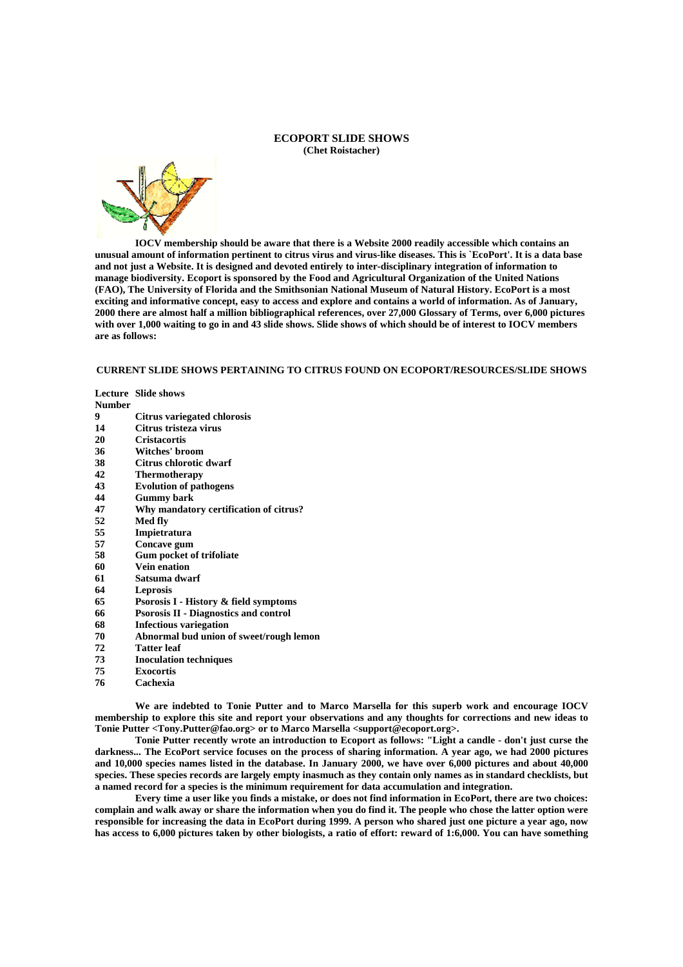#### **ECOPORT SLIDE SHOWS (Chet Roistacher)**



 **IOCV membership should be aware that there is a Website 2000 readily accessible which contains an unusual amount of information pertinent to citrus virus and virus-like diseases. This is `EcoPort'. It is a data base and not just a Website. It is designed and devoted entirely to inter-disciplinary integration of information to manage biodiversity. Ecoport is sponsored by the Food and Agricultural Organization of the United Nations (FAO), The University of Florida and the Smithsonian National Museum of Natural History. EcoPort is a most exciting and informative concept, easy to access and explore and contains a world of information. As of January, 2000 there are almost half a million bibliographical references, over 27,000 Glossary of Terms, over 6,000 pictures with over 1,000 waiting to go in and 43 slide shows. Slide shows of which should be of interest to IOCV members are as follows:** 

## **CURRENT SLIDE SHOWS PERTAINING TO CITRUS FOUND ON ECOPORT/RESOURCES/SLIDE SHOWS**

**Lecture Slide shows Number** 

- **9 Citrus variegated chlorosis**
- **14 Citrus tristeza virus**
- 
- **20 Cristacortis 36 Witches' broom**
- **38 Citrus chlorotic dwarf**
- **42 Thermotherapy**
- **43 Evolution of pathogens**
- 
- **44 Gummy bark 47 Why mandatory certification of citrus?**
- 
- **52 Med fly 55 Impietratura**
- **57 Concave gum**
- **58 Gum pocket of trifoliate**
- **60 Vein enation**
- **61 Satsuma dwarf**
- **64 Leprosis**
- **65 Psorosis I History & field symptoms**
- **66 Psorosis II Diagnostics and control**
- **68 Infectious variegation**
- **70 Abnormal bud union of sweet/rough lemon**
- **72 Tatter leaf**
- **73 Inoculation techniques**
- **75 Exocortis**
- **76 Cachexia**

 **We are indebted to Tonie Putter and to Marco Marsella for this superb work and encourage IOCV membership to explore this site and report your observations and any thoughts for corrections and new ideas to Tonie Putter <Tony.Putter@fao.org> or to Marco Marsella <support@ecoport.org>.** 

 **Tonie Putter recently wrote an introduction to Ecoport as follows: "Light a candle - don't just curse the darkness... The EcoPort service focuses on the process of sharing information. A year ago, we had 2000 pictures and 10,000 species names listed in the database. In January 2000, we have over 6,000 pictures and about 40,000 species. These species records are largely empty inasmuch as they contain only names as in standard checklists, but a named record for a species is the minimum requirement for data accumulation and integration.** 

 **Every time a user like you finds a mistake, or does not find information in EcoPort, there are two choices: complain and walk away or share the information when you do find it. The people who chose the latter option were responsible for increasing the data in EcoPort during 1999. A person who shared just one picture a year ago, now has access to 6,000 pictures taken by other biologists, a ratio of effort: reward of 1:6,000. You can have something**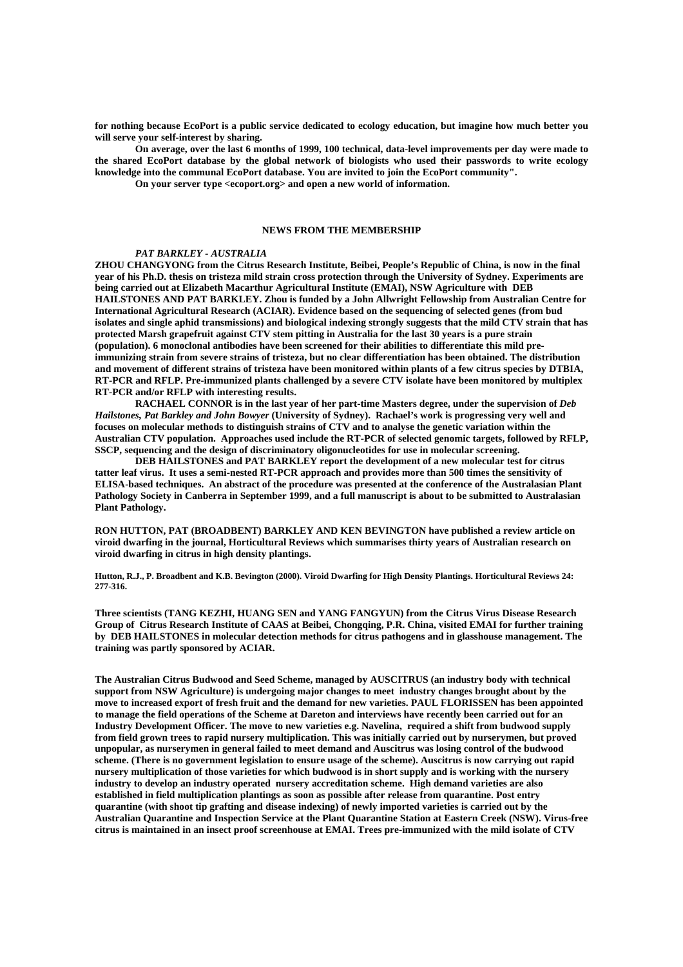**for nothing because EcoPort is a public service dedicated to ecology education, but imagine how much better you will serve your self-interest by sharing.** 

 **On average, over the last 6 months of 1999, 100 technical, data-level improvements per day were made to the shared EcoPort database by the global network of biologists who used their passwords to write ecology knowledge into the communal EcoPort database. You are invited to join the EcoPort community".** 

 **On your server type <ecoport.org> and open a new world of information.** 

# **NEWS FROM THE MEMBERSHIP**

#### *PAT BARKLEY - AUSTRALIA*

**ZHOU CHANGYONG from the Citrus Research Institute, Beibei, People's Republic of China, is now in the final year of his Ph.D. thesis on tristeza mild strain cross protection through the University of Sydney. Experiments are being carried out at Elizabeth Macarthur Agricultural Institute (EMAI), NSW Agriculture with DEB HAILSTONES AND PAT BARKLEY. Zhou is funded by a John Allwright Fellowship from Australian Centre for International Agricultural Research (ACIAR). Evidence based on the sequencing of selected genes (from bud isolates and single aphid transmissions) and biological indexing strongly suggests that the mild CTV strain that has protected Marsh grapefruit against CTV stem pitting in Australia for the last 30 years is a pure strain (population). 6 monoclonal antibodies have been screened for their abilities to differentiate this mild preimmunizing strain from severe strains of tristeza, but no clear differentiation has been obtained. The distribution and movement of different strains of tristeza have been monitored within plants of a few citrus species by DTBIA, RT-PCR and RFLP. Pre-immunized plants challenged by a severe CTV isolate have been monitored by multiplex RT-PCR and/or RFLP with interesting results.** 

 **RACHAEL CONNOR is in the last year of her part-time Masters degree, under the supervision of** *Deb Hailstones, Pat Barkley and John Bowyer* **(University of Sydney). Rachael's work is progressing very well and focuses on molecular methods to distinguish strains of CTV and to analyse the genetic variation within the Australian CTV population. Approaches used include the RT-PCR of selected genomic targets, followed by RFLP, SSCP, sequencing and the design of discriminatory oligonucleotides for use in molecular screening.** 

 **DEB HAILSTONES and PAT BARKLEY report the development of a new molecular test for citrus tatter leaf virus. It uses a semi-nested RT-PCR approach and provides more than 500 times the sensitivity of ELISA-based techniques. An abstract of the procedure was presented at the conference of the Australasian Plant Pathology Society in Canberra in September 1999, and a full manuscript is about to be submitted to Australasian Plant Pathology.** 

**RON HUTTON, PAT (BROADBENT) BARKLEY AND KEN BEVINGTON have published a review article on viroid dwarfing in the journal, Horticultural Reviews which summarises thirty years of Australian research on viroid dwarfing in citrus in high density plantings.** 

**Hutton, R.J., P. Broadbent and K.B. Bevington (2000). Viroid Dwarfing for High Density Plantings. Horticultural Reviews 24: 277-316.** 

**Three scientists (TANG KEZHI, HUANG SEN and YANG FANGYUN) from the Citrus Virus Disease Research Group of Citrus Research Institute of CAAS at Beibei, Chongqing, P.R. China, visited EMAI for further training by DEB HAILSTONES in molecular detection methods for citrus pathogens and in glasshouse management. The training was partly sponsored by ACIAR.** 

**The Australian Citrus Budwood and Seed Scheme, managed by AUSCITRUS (an industry body with technical support from NSW Agriculture) is undergoing major changes to meet industry changes brought about by the move to increased export of fresh fruit and the demand for new varieties. PAUL FLORISSEN has been appointed to manage the field operations of the Scheme at Dareton and interviews have recently been carried out for an Industry Development Officer. The move to new varieties e.g. Navelina, required a shift from budwood supply from field grown trees to rapid nursery multiplication. This was initially carried out by nurserymen, but proved unpopular, as nurserymen in general failed to meet demand and Auscitrus was losing control of the budwood scheme. (There is no government legislation to ensure usage of the scheme). Auscitrus is now carrying out rapid nursery multiplication of those varieties for which budwood is in short supply and is working with the nursery industry to develop an industry operated nursery accreditation scheme. High demand varieties are also established in field multiplication plantings as soon as possible after release from quarantine. Post entry quarantine (with shoot tip grafting and disease indexing) of newly imported varieties is carried out by the Australian Quarantine and Inspection Service at the Plant Quarantine Station at Eastern Creek (NSW). Virus-free citrus is maintained in an insect proof screenhouse at EMAI. Trees pre-immunized with the mild isolate of CTV**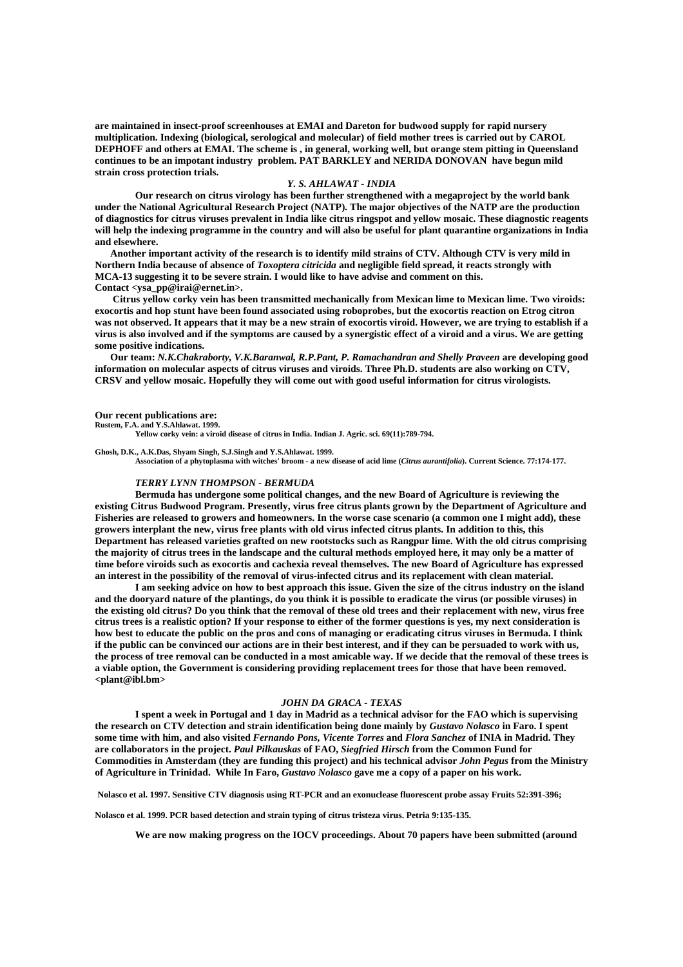**are maintained in insect-proof screenhouses at EMAI and Dareton for budwood supply for rapid nursery multiplication. Indexing (biological, serological and molecular) of field mother trees is carried out by CAROL DEPHOFF and others at EMAI. The scheme is , in general, working well, but orange stem pitting in Queensland continues to be an impotant industry problem. PAT BARKLEY and NERIDA DONOVAN have begun mild strain cross protection trials.** 

# *Y. S. AHLAWAT - INDIA*

 **Our research on citrus virology has been further strengthened with a megaproject by the world bank under the National Agricultural Research Project (NATP). The major objectives of the NATP are the production of diagnostics for citrus viruses prevalent in India like citrus ringspot and yellow mosaic. These diagnostic reagents will help the indexing programme in the country and will also be useful for plant quarantine organizations in India and elsewhere.** 

 **Another important activity of the research is to identify mild strains of CTV. Although CTV is very mild in Northern India because of absence of** *Toxoptera citricida* **and negligible field spread, it reacts strongly with MCA-13 suggesting it to be severe strain. I would like to have advise and comment on this. Contact <ysa\_pp@irai@ernet.in>.** 

 **Citrus yellow corky vein has been transmitted mechanically from Mexican lime to Mexican lime. Two viroids: exocortis and hop stunt have been found associated using roboprobes, but the exocortis reaction on Etrog citron was not observed. It appears that it may be a new strain of exocortis viroid. However, we are trying to establish if a virus is also involved and if the symptoms are caused by a synergistic effect of a viroid and a virus. We are getting some positive indications.** 

 **Our team:** *N.K.Chakraborty, V.K.Baranwal, R.P.Pant, P. Ramachandran and Shelly Praveen* **are developing good information on molecular aspects of citrus viruses and viroids. Three Ph.D. students are also working on CTV, CRSV and yellow mosaic. Hopefully they will come out with good useful information for citrus virologists.** 

#### **Our recent publications are:**

**Rustem, F.A. and Y.S.Ahlawat. 1999.** 

**Yellow corky vein: a viroid disease of citrus in India. Indian J. Agric. sci. 69(11):789-794.** 

#### **Ghosh, D.K., A.K.Das, Shyam Singh, S.J.Singh and Y.S.Ahlawat. 1999.**

**Association of a phytoplasma with witches' broom - a new disease of acid lime (***Citrus aurantifolia***). Current Science. 77:174-177.** 

#### *TERRY LYNN THOMPSON - BERMUDA*

 **Bermuda has undergone some political changes, and the new Board of Agriculture is reviewing the existing Citrus Budwood Program. Presently, virus free citrus plants grown by the Department of Agriculture and Fisheries are released to growers and homeowners. In the worse case scenario (a common one I might add), these growers interplant the new, virus free plants with old virus infected citrus plants. In addition to this, this Department has released varieties grafted on new rootstocks such as Rangpur lime. With the old citrus comprising the majority of citrus trees in the landscape and the cultural methods employed here, it may only be a matter of time before viroids such as exocortis and cachexia reveal themselves. The new Board of Agriculture has expressed an interest in the possibility of the removal of virus-infected citrus and its replacement with clean material.** 

 **I am seeking advice on how to best approach this issue. Given the size of the citrus industry on the island and the dooryard nature of the plantings, do you think it is possible to eradicate the virus (or possible viruses) in the existing old citrus? Do you think that the removal of these old trees and their replacement with new, virus free citrus trees is a realistic option? If your response to either of the former questions is yes, my next consideration is how best to educate the public on the pros and cons of managing or eradicating citrus viruses in Bermuda. I think if the public can be convinced our actions are in their best interest, and if they can be persuaded to work with us, the process of tree removal can be conducted in a most amicable way. If we decide that the removal of these trees is a viable option, the Government is considering providing replacement trees for those that have been removed. <plant@ibl.bm>** 

## *JOHN DA GRACA - TEXAS*

 **I spent a week in Portugal and 1 day in Madrid as a technical advisor for the FAO which is supervising the research on CTV detection and strain identification being done mainly by** *Gustavo Nolasco* **in Faro. I spent some time with him, and also visited** *Fernando Pons, Vicente Torres* **and** *Flora Sanchez* **of INIA in Madrid. They are collaborators in the project.** *Paul Pilkauskas* **of FAO,** *Siegfried Hirsch* **from the Common Fund for Commodities in Amsterdam (they are funding this project) and his technical advisor** *John Pegus* **from the Ministry of Agriculture in Trinidad. While In Faro,** *Gustavo Nolasco* **gave me a copy of a paper on his work.** 

**Nolasco et al. 1997. Sensitive CTV diagnosis using RT-PCR and an exonuclease fluorescent probe assay Fruits 52:391-396;** 

**Nolasco et al. 1999. PCR based detection and strain typing of citrus tristeza virus. Petria 9:135-135.** 

**We are now making progress on the IOCV proceedings. About 70 papers have been submitted (around**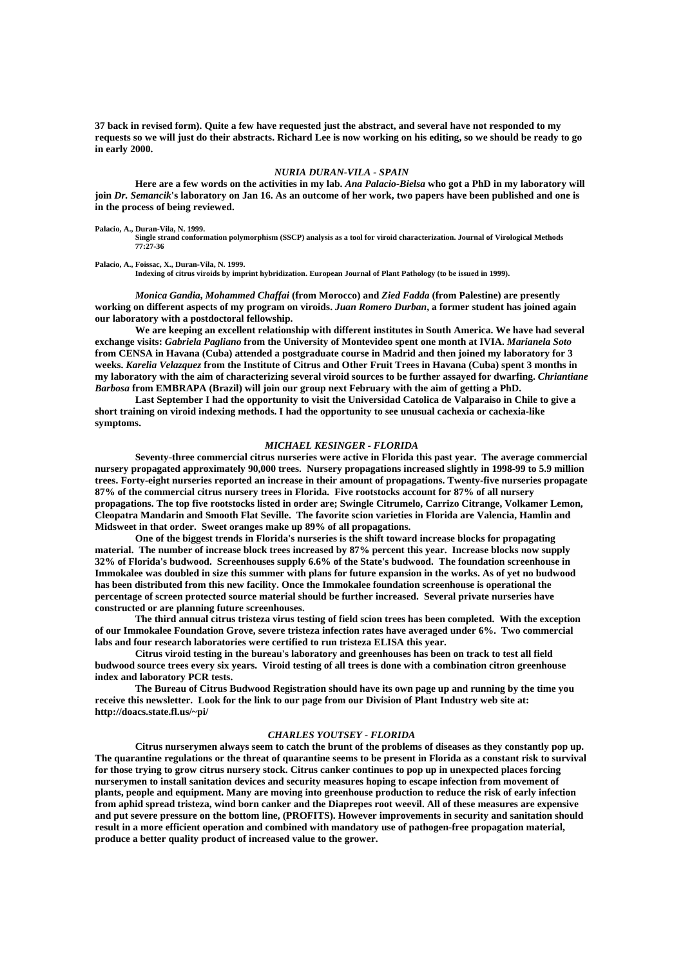**37 back in revised form). Quite a few have requested just the abstract, and several have not responded to my requests so we will just do their abstracts. Richard Lee is now working on his editing, so we should be ready to go in early 2000.** 

# *NURIA DURAN-VILA - SPAIN*

 **Here are a few words on the activities in my lab.** *Ana Palacio-Bielsa* **who got a PhD in my laboratory will join** *Dr. Semancik***'s laboratory on Jan 16. As an outcome of her work, two papers have been published and one is in the process of being reviewed.** 

**Palacio, A., Duran-Vila, N. 1999.** 

**Single strand conformation polymorphism (SSCP) analysis as a tool for viroid characterization. Journal of Virological Methods 77:27-36** 

**Palacio, A., Foissac, X., Duran-Vila, N. 1999.** 

**Indexing of citrus viroids by imprint hybridization. European Journal of Plant Pathology (to be issued in 1999).**

 *Monica Gandia***,** *Mohammed Chaffai* **(from Morocco) and** *Zied Fadda* **(from Palestine) are presently working on different aspects of my program on viroids.** *Juan Romero Durban***, a former student has joined again our laboratory with a postdoctoral fellowship.** 

 **We are keeping an excellent relationship with different institutes in South America. We have had several exchange visits:** *Gabriela Pagliano* **from the University of Montevideo spent one month at IVIA.** *Marianela Soto* **from CENSA in Havana (Cuba) attended a postgraduate course in Madrid and then joined my laboratory for 3 weeks.** *Karelia Velazquez* **from the Institute of Citrus and Other Fruit Trees in Havana (Cuba) spent 3 months in my laboratory with the aim of characterizing several viroid sources to be further assayed for dwarfing.** *Chriantiane Barbosa* **from EMBRAPA (Brazil) will join our group next February with the aim of getting a PhD.** 

 **Last September I had the opportunity to visit the Universidad Catolica de Valparaiso in Chile to give a short training on viroid indexing methods. I had the opportunity to see unusual cachexia or cachexia-like symptoms.** 

# *MICHAEL KESINGER - FLORIDA*

 **Seventy-three commercial citrus nurseries were active in Florida this past year. The average commercial nursery propagated approximately 90,000 trees. Nursery propagations increased slightly in 1998-99 to 5.9 million trees. Forty-eight nurseries reported an increase in their amount of propagations. Twenty-five nurseries propagate 87% of the commercial citrus nursery trees in Florida. Five rootstocks account for 87% of all nursery propagations. The top five rootstocks listed in order are; Swingle Citrumelo, Carrizo Citrange, Volkamer Lemon, Cleopatra Mandarin and Smooth Flat Seville. The favorite scion varieties in Florida are Valencia, Hamlin and Midsweet in that order. Sweet oranges make up 89% of all propagations.** 

 **One of the biggest trends in Florida's nurseries is the shift toward increase blocks for propagating material. The number of increase block trees increased by 87% percent this year. Increase blocks now supply 32% of Florida's budwood. Screenhouses supply 6.6% of the State's budwood. The foundation screenhouse in Immokalee was doubled in size this summer with plans for future expansion in the works. As of yet no budwood has been distributed from this new facility. Once the Immokalee foundation screenhouse is operational the percentage of screen protected source material should be further increased. Several private nurseries have constructed or are planning future screenhouses.** 

 **The third annual citrus tristeza virus testing of field scion trees has been completed. With the exception of our Immokalee Foundation Grove, severe tristeza infection rates have averaged under 6%. Two commercial labs and four research laboratories were certified to run tristeza ELISA this year.** 

 **Citrus viroid testing in the bureau's laboratory and greenhouses has been on track to test all field budwood source trees every six years. Viroid testing of all trees is done with a combination citron greenhouse index and laboratory PCR tests.** 

 **The Bureau of Citrus Budwood Registration should have its own page up and running by the time you receive this newsletter. Look for the link to our page from our Division of Plant Industry web site at: http://doacs.state.fl.us/~pi/** 

# *CHARLES YOUTSEY - FLORIDA*

 **Citrus nurserymen always seem to catch the brunt of the problems of diseases as they constantly pop up. The quarantine regulations or the threat of quarantine seems to be present in Florida as a constant risk to survival for those trying to grow citrus nursery stock. Citrus canker continues to pop up in unexpected places forcing nurserymen to install sanitation devices and security measures hoping to escape infection from movement of plants, people and equipment. Many are moving into greenhouse production to reduce the risk of early infection from aphid spread tristeza, wind born canker and the Diaprepes root weevil. All of these measures are expensive and put severe pressure on the bottom line, (PROFITS). However improvements in security and sanitation should result in a more efficient operation and combined with mandatory use of pathogen-free propagation material, produce a better quality product of increased value to the grower.**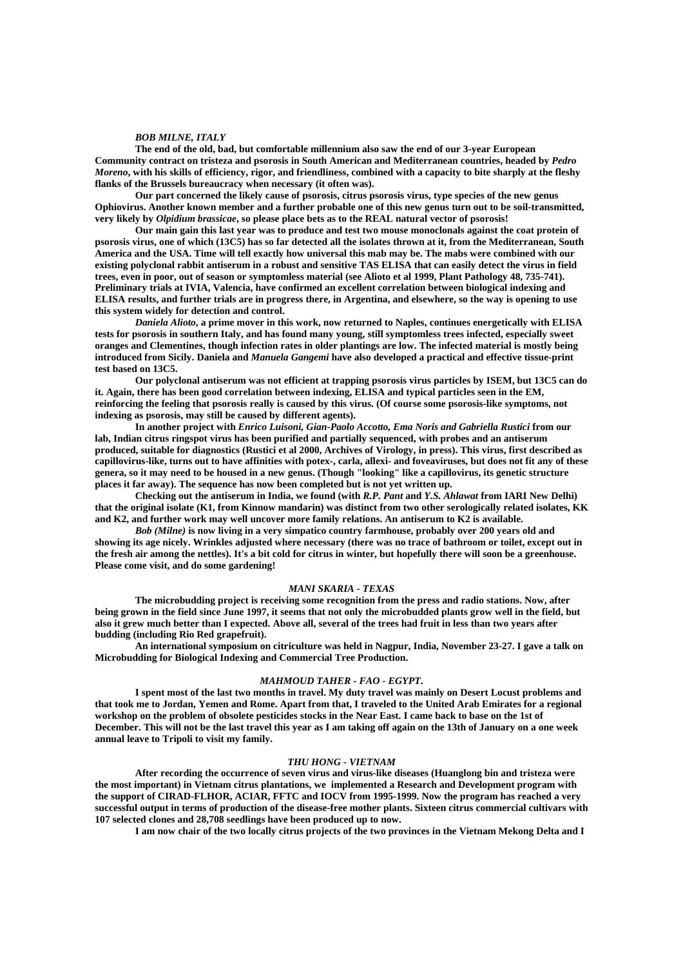#### *BOB MILNE, ITALY*

 **The end of the old, bad, but comfortable millennium also saw the end of our 3-year European Community contract on tristeza and psorosis in South American and Mediterranean countries, headed by** *Pedro Moreno***, with his skills of efficiency, rigor, and friendliness, combined with a capacity to bite sharply at the fleshy flanks of the Brussels bureaucracy when necessary (it often was).** 

 **Our part concerned the likely cause of psorosis, citrus psorosis virus, type species of the new genus Ophiovirus. Another known member and a further probable one of this new genus turn out to be soil-transmitted, very likely by** *Olpidium brassicae***, so please place bets as to the REAL natural vector of psorosis!** 

 **Our main gain this last year was to produce and test two mouse monoclonals against the coat protein of psorosis virus, one of which (13C5) has so far detected all the isolates thrown at it, from the Mediterranean, South America and the USA. Time will tell exactly how universal this mab may be. The mabs were combined with our existing polyclonal rabbit antiserum in a robust and sensitive TAS ELISA that can easily detect the virus in field trees, even in poor, out of season or symptomless material (see Alioto et al 1999, Plant Pathology 48, 735-741). Preliminary trials at IVIA, Valencia, have confirmed an excellent correlation between biological indexing and ELISA results, and further trials are in progress there, in Argentina, and elsewhere, so the way is opening to use this system widely for detection and control.** 

*Daniela Alioto***, a prime mover in this work, now returned to Naples, continues energetically with ELISA tests for psorosis in southern Italy, and has found many young, still symptomless trees infected, especially sweet oranges and Clementines, though infection rates in older plantings are low. The infected material is mostly being introduced from Sicily. Daniela and** *Manuela Gangemi* **have also developed a practical and effective tissue-print test based on 13C5.** 

 **Our polyclonal antiserum was not efficient at trapping psorosis virus particles by ISEM, but 13C5 can do it. Again, there has been good correlation between indexing, ELISA and typical particles seen in the EM, reinforcing the feeling that psorosis really is caused by this virus. (Of course some psorosis-like symptoms, not indexing as psorosis, may still be caused by different agents).** 

 **In another project with** *Enrico Luisoni, Gian-Paolo Accotto, Ema Noris and Gabriella Rustici* **from our lab, Indian citrus ringspot virus has been purified and partially sequenced, with probes and an antiserum produced, suitable for diagnostics (Rustici et al 2000, Archives of Virology, in press). This virus, first described as capillovirus-like, turns out to have affinities with potex-, carla, allexi- and foveaviruses, but does not fit any of these genera, so it may need to be housed in a new genus. (Though "looking" like a capillovirus, its genetic structure places it far away). The sequence has now been completed but is not yet written up.** 

 **Checking out the antiserum in India, we found (with** *R.P. Pant* **and** *Y.S. Ahlawat* **from IARI New Delhi) that the original isolate (K1, from Kinnow mandarin) was distinct from two other serologically related isolates, KK and K2, and further work may well uncover more family relations. An antiserum to K2 is available.** 

*Bob (Milne)* **is now living in a very simpatico country farmhouse, probably over 200 years old and showing its age nicely. Wrinkles adjusted where necessary (there was no trace of bathroom or toilet, except out in the fresh air among the nettles). It's a bit cold for citrus in winter, but hopefully there will soon be a greenhouse. Please come visit, and do some gardening!** 

#### *MANI SKARIA - TEXAS*

 **The microbudding project is receiving some recognition from the press and radio stations. Now, after being grown in the field since June 1997, it seems that not only the microbudded plants grow well in the field, but also it grew much better than I expected. Above all, several of the trees had fruit in less than two years after budding (including Rio Red grapefruit).** 

 **An international symposium on citriculture was held in Nagpur, India, November 23-27. I gave a talk on Microbudding for Biological Indexing and Commercial Tree Production.** 

### *MAHMOUD TAHER - FAO - EGYPT***.**

 **I spent most of the last two months in travel. My duty travel was mainly on Desert Locust problems and that took me to Jordan, Yemen and Rome. Apart from that, I traveled to the United Arab Emirates for a regional workshop on the problem of obsolete pesticides stocks in the Near East. I came back to base on the 1st of December. This will not be the last travel this year as I am taking off again on the 13th of January on a one week annual leave to Tripoli to visit my family.** 

# *THU HONG - VIETNAM*

 **After recording the occurrence of seven virus and virus-like diseases (Huanglong bin and tristeza were the most important) in Vietnam citrus plantations, we implemented a Research and Development program with the support of CIRAD-FLHOR, ACIAR, FFTC and IOCV from 1995-1999. Now the program has reached a very successful output in terms of production of the disease-free mother plants. Sixteen citrus commercial cultivars with 107 selected clones and 28,708 seedlings have been produced up to now.** 

 **I am now chair of the two locally citrus projects of the two provinces in the Vietnam Mekong Delta and I**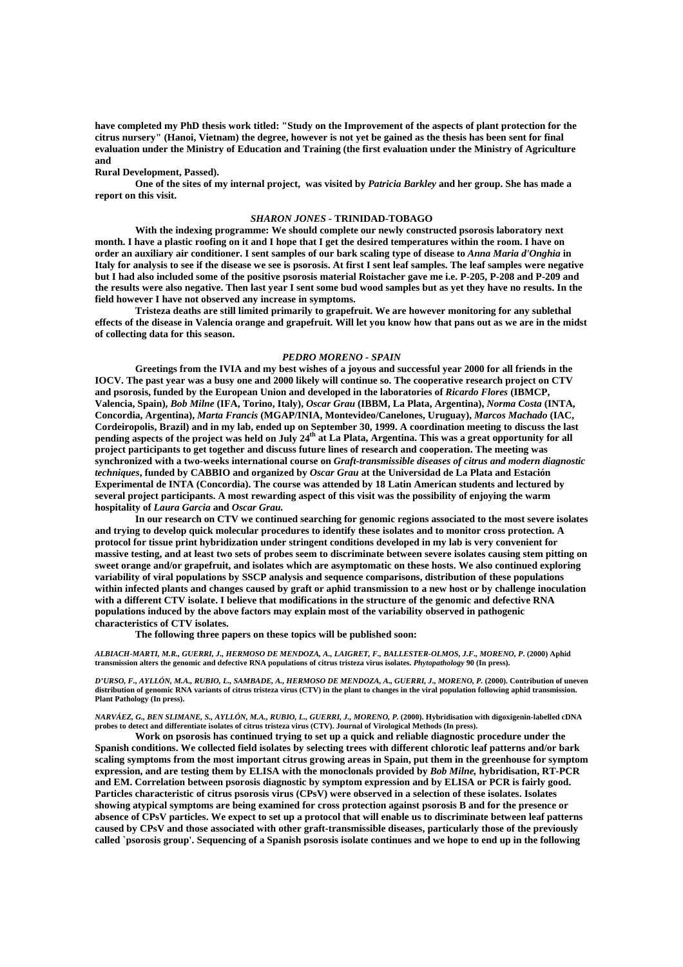**have completed my PhD thesis work titled: "Study on the Improvement of the aspects of plant protection for the citrus nursery" (Hanoi, Vietnam) the degree, however is not yet be gained as the thesis has been sent for final evaluation under the Ministry of Education and Training (the first evaluation under the Ministry of Agriculture and** 

# **Rural Development, Passed).**

 **One of the sites of my internal project, was visited by** *Patricia Barkley* **and her group. She has made a report on this visit.** 

#### *SHARON JONES* **- TRINIDAD-TOBAGO**

 **With the indexing programme: We should complete our newly constructed psorosis laboratory next month. I have a plastic roofing on it and I hope that I get the desired temperatures within the room. I have on order an auxiliary air conditioner. I sent samples of our bark scaling type of disease to** *Anna Maria d'Onghia* **in Italy for analysis to see if the disease we see is psorosis. At first I sent leaf samples. The leaf samples were negative but I had also included some of the positive psorosis material Roistacher gave me i.e. P-205, P-208 and P-209 and the results were also negative. Then last year I sent some bud wood samples but as yet they have no results. In the field however I have not observed any increase in symptoms.** 

 **Tristeza deaths are still limited primarily to grapefruit. We are however monitoring for any sublethal effects of the disease in Valencia orange and grapefruit. Will let you know how that pans out as we are in the midst of collecting data for this season.** 

#### *PEDRO MORENO - SPAIN*

 **Greetings from the IVIA and my best wishes of a joyous and successful year 2000 for all friends in the IOCV. The past year was a busy one and 2000 likely will continue so. The cooperative research project on CTV and psorosis, funded by the European Union and developed in the laboratories of** *Ricardo Flores* **(IBMCP, Valencia, Spain),** *Bob Milne* **(IFA, Torino, Italy),** *Oscar Grau* **(IBBM, La Plata, Argentina),** *Norma Costa* **(INTA, Concordia, Argentina),** *Marta Francis* **(MGAP/INIA, Montevideo/Canelones, Uruguay),** *Marcos Machado* **(IAC, Cordeiropolis, Brazil) and in my lab, ended up on September 30, 1999. A coordination meeting to discuss the last**  pending aspects of the project was held on July 24<sup>th</sup> at La Plata, Argentina. This was a great opportunity for all **project participants to get together and discuss future lines of research and cooperation. The meeting was synchronized with a two-weeks international course on** *Graft-transmissible diseases of citrus and modern diagnostic techniques***, funded by CABBIO and organized by** *Oscar Grau* **at the Universidad de La Plata and Estación Experimental de INTA (Concordia). The course was attended by 18 Latin American students and lectured by several project participants. A most rewarding aspect of this visit was the possibility of enjoying the warm hospitality of** *Laura Garcia* **and** *Oscar Grau.* 

 **In our research on CTV we continued searching for genomic regions associated to the most severe isolates and trying to develop quick molecular procedures to identify these isolates and to monitor cross protection. A protocol for tissue print hybridization under stringent conditions developed in my lab is very convenient for massive testing, and at least two sets of probes seem to discriminate between severe isolates causing stem pitting on sweet orange and/or grapefruit, and isolates which are asymptomatic on these hosts. We also continued exploring variability of viral populations by SSCP analysis and sequence comparisons, distribution of these populations within infected plants and changes caused by graft or aphid transmission to a new host or by challenge inoculation with a different CTV isolate. I believe that modifications in the structure of the genomic and defective RNA populations induced by the above factors may explain most of the variability observed in pathogenic characteristics of CTV isolates.** 

 **The following three papers on these topics will be published soon:** 

*ALBIACH-MARTI, M.R., GUERRI, J., HERMOSO DE MENDOZA, A., LAIGRET, F., BALLESTER-OLMOS, J.F., MORENO, P***. (2000) Aphid transmission alters the genomic and defective RNA populations of citrus tristeza virus isolates.** *Phytopathology* **90 (In press).** 

*D'URSO, F., AYLLÓN, M.A., RUBIO, L., SAMBADE, A., HERMOSO DE MENDOZA, A., GUERRI, J., MORENO, P.* **(2000). Contribution of uneven distribution of genomic RNA variants of citrus tristeza virus (CTV) in the plant to changes in the viral population following aphid transmission. Plant Pathology (In press).** 

*NARVÁEZ, G., BEN SLIMANE, S., AYLLÓN, M.A., RUBIO, L., GUERRI, J., MORENO, P.* **(2000). Hybridisation with digoxigenin-labelled cDNA probes to detect and differentiate isolates of citrus tristeza virus (CTV). Journal of Virological Methods (In press).** 

 **Work on psorosis has continued trying to set up a quick and reliable diagnostic procedure under the Spanish conditions. We collected field isolates by selecting trees with different chlorotic leaf patterns and/or bark scaling symptoms from the most important citrus growing areas in Spain, put them in the greenhouse for symptom expression, and are testing them by ELISA with the monoclonals provided by** *Bob Milne,* **hybridisation, RT-PCR and EM. Correlation between psorosis diagnostic by symptom expression and by ELISA or PCR is fairly good. Particles characteristic of citrus psorosis virus (CPsV) were observed in a selection of these isolates. Isolates showing atypical symptoms are being examined for cross protection against psorosis B and for the presence or absence of CPsV particles. We expect to set up a protocol that will enable us to discriminate between leaf patterns caused by CPsV and those associated with other graft-transmissible diseases, particularly those of the previously called `psorosis group'. Sequencing of a Spanish psorosis isolate continues and we hope to end up in the following**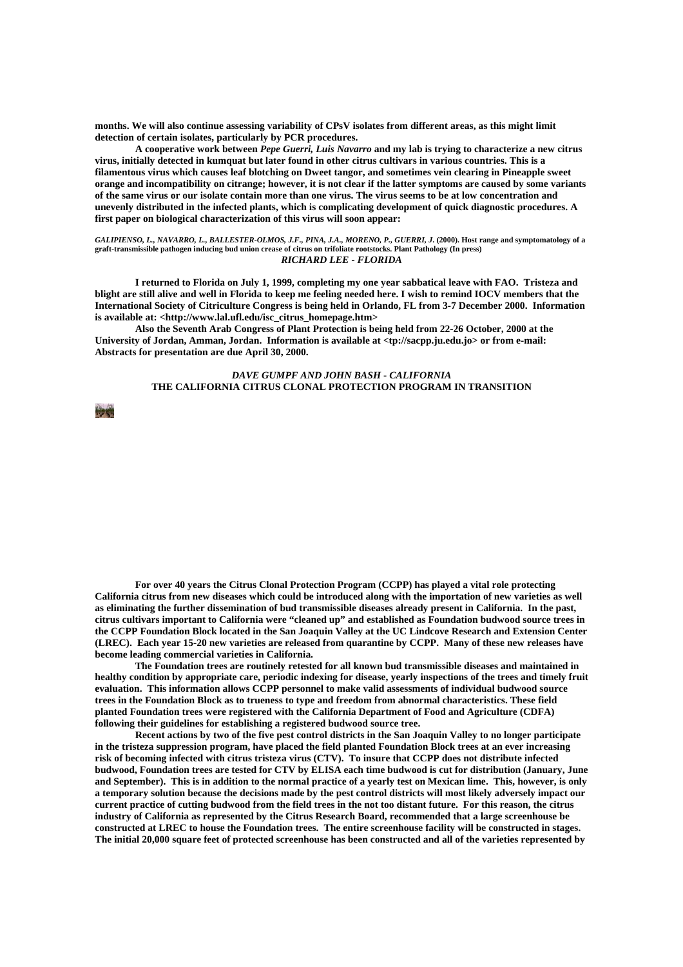**months. We will also continue assessing variability of CPsV isolates from different areas, as this might limit detection of certain isolates, particularly by PCR procedures.** 

 **A cooperative work between** *Pepe Guerri, Luis Navarro* **and my lab is trying to characterize a new citrus virus, initially detected in kumquat but later found in other citrus cultivars in various countries. This is a filamentous virus which causes leaf blotching on Dweet tangor, and sometimes vein clearing in Pineapple sweet orange and incompatibility on citrange; however, it is not clear if the latter symptoms are caused by some variants of the same virus or our isolate contain more than one virus. The virus seems to be at low concentration and unevenly distributed in the infected plants, which is complicating development of quick diagnostic procedures. A first paper on biological characterization of this virus will soon appear:** 

*GALIPIENSO, L., NAVARRO, L., BALLESTER-OLMOS, J.F., PINA, J.A., MORENO, P., GUERRI, J***. (2000). Host range and symptomatology of a graft-transmissible pathogen inducing bud union crease of citrus on trifoliate rootstocks. Plant Pathology (In press)**  *RICHARD LEE - FLORIDA*

 **I returned to Florida on July 1, 1999, completing my one year sabbatical leave with FAO. Tristeza and blight are still alive and well in Florida to keep me feeling needed here. I wish to remind IOCV members that the International Society of Citriculture Congress is being held in Orlando, FL from 3-7 December 2000. Information is available at: <http://www.lal.ufl.edu/isc\_citrus\_homepage.htm>** 

 **Also the Seventh Arab Congress of Plant Protection is being held from 22-26 October, 2000 at the University of Jordan, Amman, Jordan. Information is available at <tp://sacpp.ju.edu.jo> or from e-mail: Abstracts for presentation are due April 30, 2000.** 

# *DAVE GUMPF AND JOHN BASH* **-** *CALIFORNIA* **THE CALIFORNIA CITRUS CLONAL PROTECTION PROGRAM IN TRANSITION**

**HOME** 

 **For over 40 years the Citrus Clonal Protection Program (CCPP) has played a vital role protecting California citrus from new diseases which could be introduced along with the importation of new varieties as well as eliminating the further dissemination of bud transmissible diseases already present in California. In the past, citrus cultivars important to California were "cleaned up" and established as Foundation budwood source trees in the CCPP Foundation Block located in the San Joaquin Valley at the UC Lindcove Research and Extension Center (LREC). Each year 15-20 new varieties are released from quarantine by CCPP. Many of these new releases have become leading commercial varieties in California.** 

 **The Foundation trees are routinely retested for all known bud transmissible diseases and maintained in healthy condition by appropriate care, periodic indexing for disease, yearly inspections of the trees and timely fruit evaluation. This information allows CCPP personnel to make valid assessments of individual budwood source trees in the Foundation Block as to trueness to type and freedom from abnormal characteristics. These field planted Foundation trees were registered with the California Department of Food and Agriculture (CDFA) following their guidelines for establishing a registered budwood source tree.** 

 **Recent actions by two of the five pest control districts in the San Joaquin Valley to no longer participate in the tristeza suppression program, have placed the field planted Foundation Block trees at an ever increasing risk of becoming infected with citrus tristeza virus (CTV). To insure that CCPP does not distribute infected budwood, Foundation trees are tested for CTV by ELISA each time budwood is cut for distribution (January, June and September). This is in addition to the normal practice of a yearly test on Mexican lime. This, however, is only a temporary solution because the decisions made by the pest control districts will most likely adversely impact our current practice of cutting budwood from the field trees in the not too distant future. For this reason, the citrus industry of California as represented by the Citrus Research Board, recommended that a large screenhouse be constructed at LREC to house the Foundation trees. The entire screenhouse facility will be constructed in stages. The initial 20,000 square feet of protected screenhouse has been constructed and all of the varieties represented by**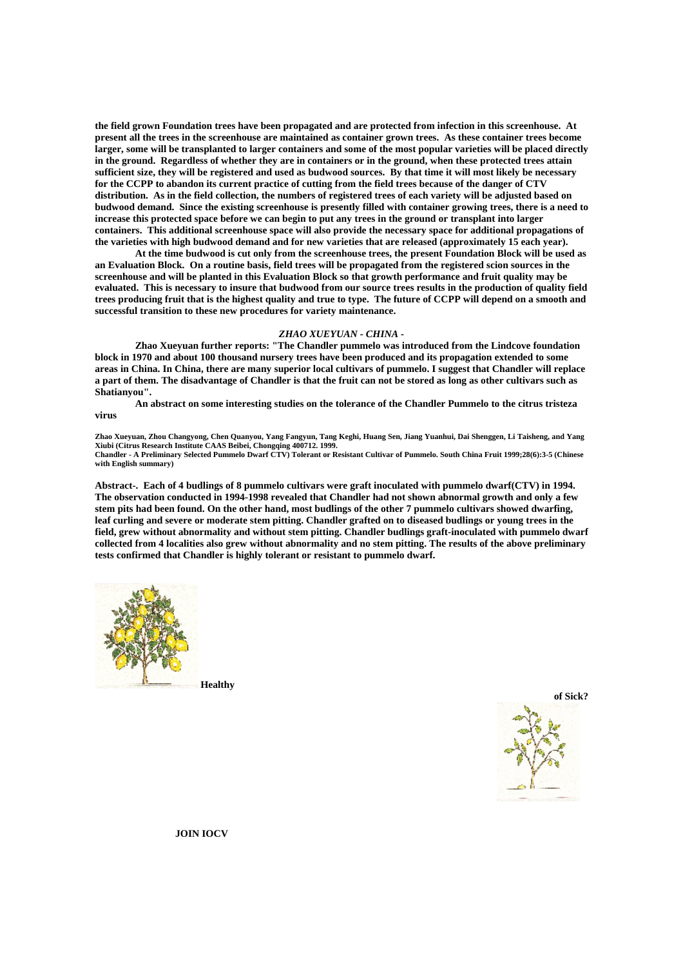**the field grown Foundation trees have been propagated and are protected from infection in this screenhouse. At present all the trees in the screenhouse are maintained as container grown trees. As these container trees become larger, some will be transplanted to larger containers and some of the most popular varieties will be placed directly in the ground. Regardless of whether they are in containers or in the ground, when these protected trees attain sufficient size, they will be registered and used as budwood sources. By that time it will most likely be necessary for the CCPP to abandon its current practice of cutting from the field trees because of the danger of CTV distribution. As in the field collection, the numbers of registered trees of each variety will be adjusted based on budwood demand. Since the existing screenhouse is presently filled with container growing trees, there is a need to increase this protected space before we can begin to put any trees in the ground or transplant into larger containers. This additional screenhouse space will also provide the necessary space for additional propagations of the varieties with high budwood demand and for new varieties that are released (approximately 15 each year).** 

 **At the time budwood is cut only from the screenhouse trees, the present Foundation Block will be used as an Evaluation Block. On a routine basis, field trees will be propagated from the registered scion sources in the screenhouse and will be planted in this Evaluation Block so that growth performance and fruit quality may be evaluated. This is necessary to insure that budwood from our source trees results in the production of quality field trees producing fruit that is the highest quality and true to type. The future of CCPP will depend on a smooth and successful transition to these new procedures for variety maintenance.** 

# *ZHAO XUEYUAN - CHINA -*

 **Zhao Xueyuan further reports: "The Chandler pummelo was introduced from the Lindcove foundation block in 1970 and about 100 thousand nursery trees have been produced and its propagation extended to some areas in China. In China, there are many superior local cultivars of pummelo. I suggest that Chandler will replace a part of them. The disadvantage of Chandler is that the fruit can not be stored as long as other cultivars such as Shatianyou".** 

 **An abstract on some interesting studies on the tolerance of the Chandler Pummelo to the citrus tristeza virus** 

**Zhao Xueyuan, Zhou Changyong, Chen Quanyou, Yang Fangyun, Tang Keghi, Huang Sen, Jiang Yuanhui, Dai Shenggen, Li Taisheng, and Yang Xiubi (Citrus Research Institute CAAS Beibei, Chongqing 400712. 1999. Chandler - A Preliminary Selected Pummelo Dwarf CTV) Tolerant or Resistant Cultivar of Pummelo. South China Fruit 1999;28(6):3-5 (Chinese with English summary)** 

**Abstract-. Each of 4 budlings of 8 pummelo cultivars were graft inoculated with pummelo dwarf(CTV) in 1994. The observation conducted in 1994-1998 revealed that Chandler had not shown abnormal growth and only a few stem pits had been found. On the other hand, most budlings of the other 7 pummelo cultivars showed dwarfing, leaf curling and severe or moderate stem pitting. Chandler grafted on to diseased budlings or young trees in the field, grew without abnormality and without stem pitting. Chandler budlings graft-inoculated with pummelo dwarf collected from 4 localities also grew without abnormality and no stem pitting. The results of the above preliminary tests confirmed that Chandler is highly tolerant or resistant to pummelo dwarf.** 



 **Healthy** 



 **JOIN IOCV**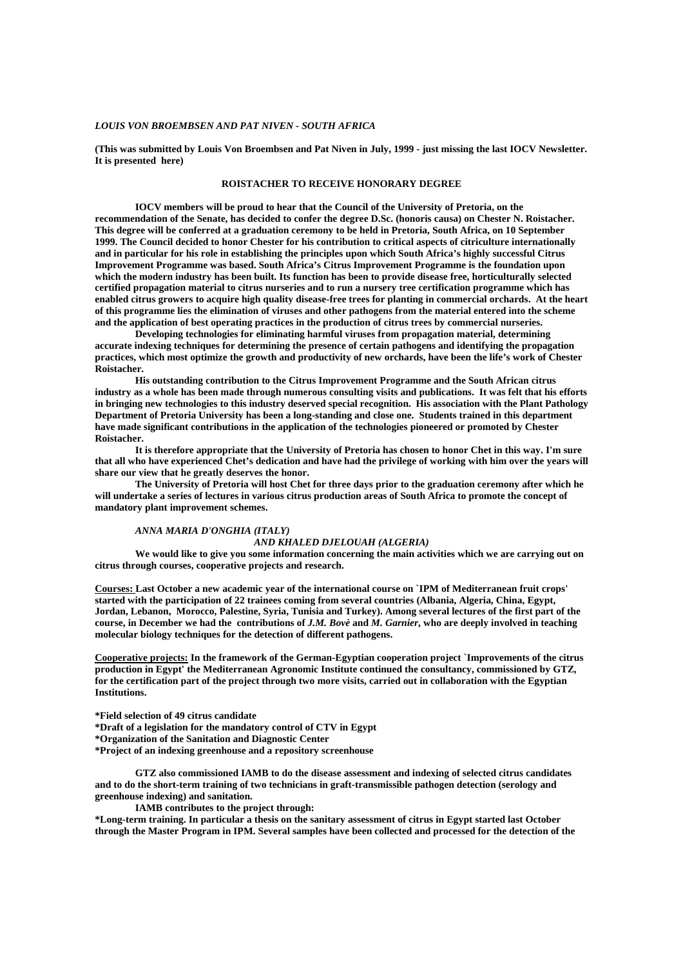### *LOUIS VON BROEMBSEN AND PAT NIVEN - SOUTH AFRICA*

**(This was submitted by Louis Von Broembsen and Pat Niven in July, 1999 - just missing the last IOCV Newsletter. It is presented here)** 

# **ROISTACHER TO RECEIVE HONORARY DEGREE**

 **IOCV members will be proud to hear that the Council of the University of Pretoria, on the recommendation of the Senate, has decided to confer the degree D.Sc. (honoris causa) on Chester N. Roistacher. This degree will be conferred at a graduation ceremony to be held in Pretoria, South Africa, on 10 September 1999. The Council decided to honor Chester for his contribution to critical aspects of citriculture internationally and in particular for his role in establishing the principles upon which South Africa's highly successful Citrus Improvement Programme was based. South Africa's Citrus Improvement Programme is the foundation upon which the modern industry has been built. Its function has been to provide disease free, horticulturally selected certified propagation material to citrus nurseries and to run a nursery tree certification programme which has enabled citrus growers to acquire high quality disease-free trees for planting in commercial orchards. At the heart of this programme lies the elimination of viruses and other pathogens from the material entered into the scheme and the application of best operating practices in the production of citrus trees by commercial nurseries.** 

 **Developing technologies for eliminating harmful viruses from propagation material, determining accurate indexing techniques for determining the presence of certain pathogens and identifying the propagation practices, which most optimize the growth and productivity of new orchards, have been the life's work of Chester Roistacher.** 

 **His outstanding contribution to the Citrus Improvement Programme and the South African citrus industry as a whole has been made through numerous consulting visits and publications. It was felt that his efforts in bringing new technologies to this industry deserved special recognition. His association with the Plant Pathology Department of Pretoria University has been a long-standing and close one. Students trained in this department have made significant contributions in the application of the technologies pioneered or promoted by Chester Roistacher.** 

 **It is therefore appropriate that the University of Pretoria has chosen to honor Chet in this way. I'm sure that all who have experienced Chet's dedication and have had the privilege of working with him over the years will share our view that he greatly deserves the honor.** 

 **The University of Pretoria will host Chet for three days prior to the graduation ceremony after which he will undertake a series of lectures in various citrus production areas of South Africa to promote the concept of mandatory plant improvement schemes.** 

## *ANNA MARIA D'ONGHIA (ITALY)*

#### *AND KHALED DJELOUAH (ALGERIA)*

 **We would like to give you some information concerning the main activities which we are carrying out on citrus through courses, cooperative projects and research.** 

**Courses: Last October a new academic year of the international course on `IPM of Mediterranean fruit crops' started with the participation of 22 trainees coming from several countries (Albania, Algeria, China, Egypt, Jordan, Lebanon, Morocco, Palestine, Syria, Tunisia and Turkey). Among several lectures of the first part of the course, in December we had the contributions of** *J.M. Bovè* **and** *M. Garnier***, who are deeply involved in teaching molecular biology techniques for the detection of different pathogens.** 

**Cooperative projects: In the framework of the German-Egyptian cooperation project `Improvements of the citrus production in Egypt' the Mediterranean Agronomic Institute continued the consultancy, commissioned by GTZ, for the certification part of the project through two more visits, carried out in collaboration with the Egyptian Institutions.** 

**\*Field selection of 49 citrus candidate** 

**\*Draft of a legislation for the mandatory control of CTV in Egypt** 

**\*Organization of the Sanitation and Diagnostic Center** 

**\*Project of an indexing greenhouse and a repository screenhouse** 

 **GTZ also commissioned IAMB to do the disease assessment and indexing of selected citrus candidates and to do the short-term training of two technicians in graft-transmissible pathogen detection (serology and greenhouse indexing) and sanitation.** 

 **IAMB contributes to the project through:** 

**\*Long-term training. In particular a thesis on the sanitary assessment of citrus in Egypt started last October through the Master Program in IPM. Several samples have been collected and processed for the detection of the**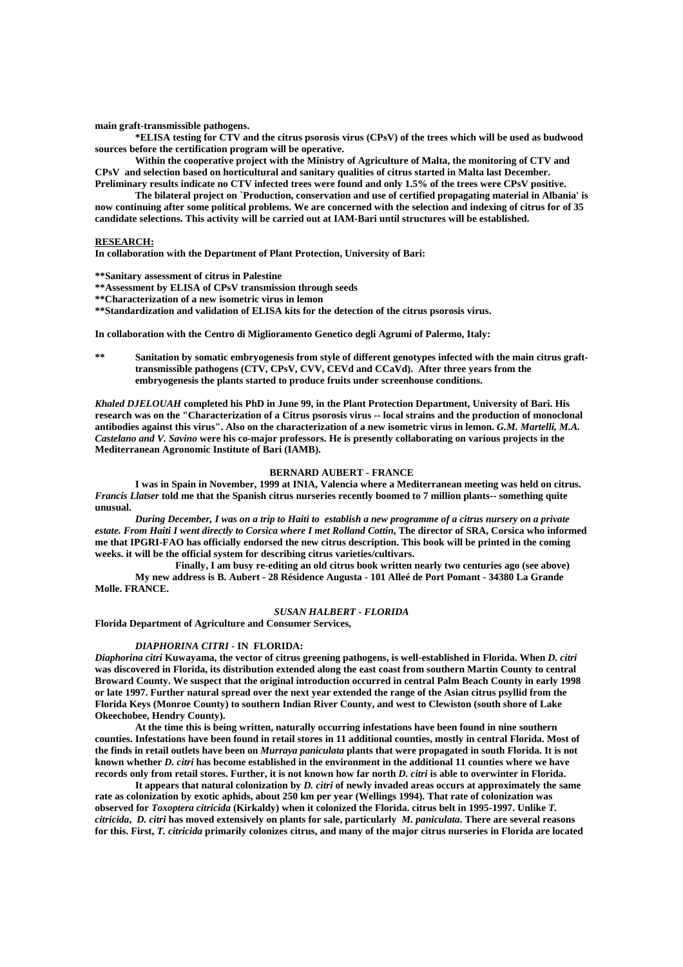**main graft-transmissible pathogens.** 

 **\*ELISA testing for CTV and the citrus psorosis virus (CPsV) of the trees which will be used as budwood sources before the certification program will be operative.** 

 **Within the cooperative project with the Ministry of Agriculture of Malta, the monitoring of CTV and CPsV and selection based on horticultural and sanitary qualities of citrus started in Malta last December. Preliminary results indicate no CTV infected trees were found and only 1.5% of the trees were CPsV positive.** 

 **The bilateral project on `Production, conservation and use of certified propagating material in Albania' is now continuing after some political problems. We are concerned with the selection and indexing of citrus for of 35 candidate selections. This activity will be carried out at IAM-Bari until structures will be established.** 

# **RESEARCH:**

**In collaboration with the Department of Plant Protection, University of Bari:** 

**\*\*Sanitary assessment of citrus in Palestine** 

- **\*\*Assessment by ELISA of CPsV transmission through seeds**
- **\*\*Characterization of a new isometric virus in lemon**

**\*\*Standardization and validation of ELISA kits for the detection of the citrus psorosis virus.** 

**In collaboration with the Centro di Miglioramento Genetico degli Agrumi of Palermo, Italy:** 

**\*\* Sanitation by somatic embryogenesis from style of different genotypes infected with the main citrus grafttransmissible pathogens (CTV, CPsV, CVV, CEVd and CCaVd). After three years from the embryogenesis the plants started to produce fruits under screenhouse conditions.** 

*Khaled DJELOUAH* **completed his PhD in June 99, in the Plant Protection Department, University of Bari. His research was on the "Characterization of a Citrus psorosis virus -- local strains and the production of monoclonal antibodies against this virus". Also on the characterization of a new isometric virus in lemon.** *G.M. Martelli, M.A. Castelano and V. Savino* **were his co-major professors. He is presently collaborating on various projects in the Mediterranean Agronomic Institute of Bari (IAMB).** 

## **BERNARD AUBERT - FRANCE**

 **I was in Spain in November, 1999 at INIA, Valencia where a Mediterranean meeting was held on citrus.**  *Francis Llatser* **told me that the Spanish citrus nurseries recently boomed to 7 million plants-- something quite unusual.** 

 *During December, I was on a trip to Haiti to establish a new programme of a citrus nursery on a private estate. From Haiti I went directly to Corsica where I met Rolland Cottin***, The director of SRA, Corsica who informed me that IPGRI-FAO has officially endorsed the new citrus description. This book will be printed in the coming weeks. it will be the official system for describing citrus varieties/cultivars.** 

 **Finally, I am busy re-editing an old citrus book written nearly two centuries ago (see above) My new address is B. Aubert - 28 Résidence Augusta - 101 Alleé de Port Pomant - 34380 La Grande Molle. FRANCE.** 

# *SUSAN HALBERT - FLORIDA*

**Florida Department of Agriculture and Consumer Services,** 

#### *DIAPHORINA CITRI* **- IN FLORIDA:**

*Diaphorina citri* **Kuwayama, the vector of citrus greening pathogens, is well-established in Florida. When** *D. citri* **was discovered in Florida, its distribution extended along the east coast from southern Martin County to central Broward County. We suspect that the original introduction occurred in central Palm Beach County in early 1998 or late 1997. Further natural spread over the next year extended the range of the Asian citrus psyllid from the Florida Keys (Monroe County) to southern Indian River County, and west to Clewiston (south shore of Lake Okeechobee, Hendry County).** 

 **At the time this is being written, naturally occurring infestations have been found in nine southern counties. Infestations have been found in retail stores in 11 additional counties, mostly in central Florida. Most of the finds in retail outlets have been on** *Murraya paniculata* **plants that were propagated in south Florida. It is not known whether** *D. citri* **has become established in the environment in the additional 11 counties where we have records only from retail stores. Further, it is not known how far north** *D. citri* **is able to overwinter in Florida.** 

 **It appears that natural colonization by** *D. citri* **of newly invaded areas occurs at approximately the same rate as colonization by exotic aphids, about 250 km per year (Wellings 1994). That rate of colonization was observed for** *Toxoptera citricida* **(Kirkaldy) when it colonized the Florida. citrus belt in 1995-1997. Unlike** *T. citricida***,** *D. citri* **has moved extensively on plants for sale, particularly** *M. paniculata***. There are several reasons for this. First,** *T. citricida* **primarily colonizes citrus, and many of the major citrus nurseries in Florida are located**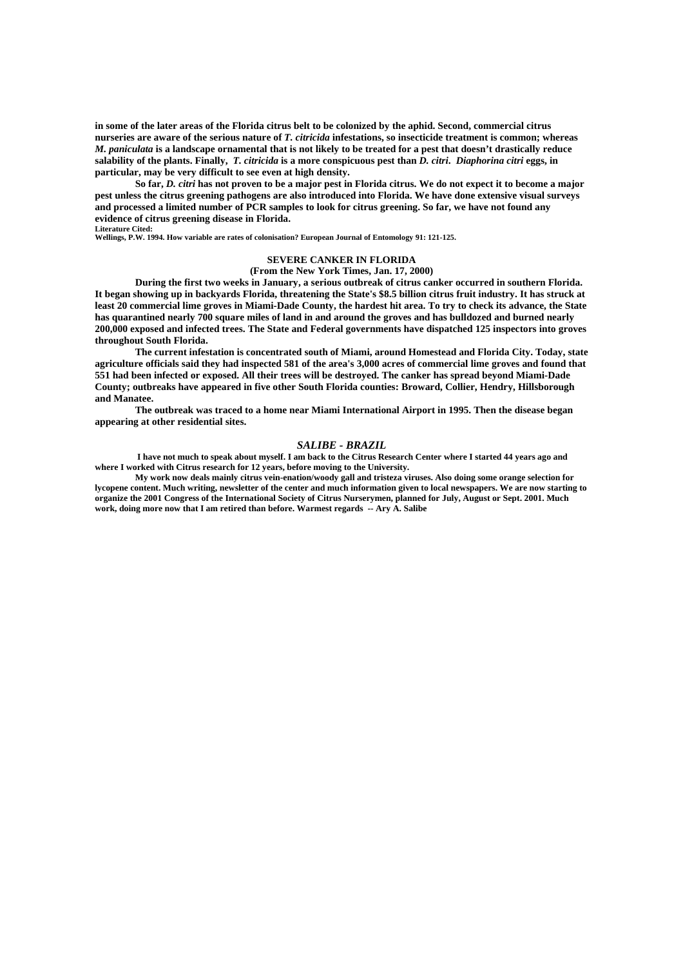**in some of the later areas of the Florida citrus belt to be colonized by the aphid. Second, commercial citrus nurseries are aware of the serious nature of** *T. citricida* **infestations, so insecticide treatment is common; whereas**  *M. paniculata* **is a landscape ornamental that is not likely to be treated for a pest that doesn't drastically reduce salability of the plants. Finally,** *T. citricida* **is a more conspicuous pest than** *D. citri***.** *Diaphorina citri* **eggs, in particular, may be very difficult to see even at high density.** 

 **So far,** *D. citri* **has not proven to be a major pest in Florida citrus. We do not expect it to become a major pest unless the citrus greening pathogens are also introduced into Florida. We have done extensive visual surveys and processed a limited number of PCR samples to look for citrus greening. So far, we have not found any evidence of citrus greening disease in Florida. Literature Cited:** 

**Wellings, P.W. 1994. How variable are rates of colonisation? European Journal of Entomology 91: 121-125.**

# **SEVERE CANKER IN FLORIDA**

#### **(From the New York Times, Jan. 17, 2000)**

 **During the first two weeks in January, a serious outbreak of citrus canker occurred in southern Florida. It began showing up in backyards Florida, threatening the State's \$8.5 billion citrus fruit industry. It has struck at least 20 commercial lime groves in Miami-Dade County, the hardest hit area. To try to check its advance, the State has quarantined nearly 700 square miles of land in and around the groves and has bulldozed and burned nearly 200,000 exposed and infected trees. The State and Federal governments have dispatched 125 inspectors into groves throughout South Florida.** 

 **The current infestation is concentrated south of Miami, around Homestead and Florida City. Today, state agriculture officials said they had inspected 581 of the area's 3,000 acres of commercial lime groves and found that 551 had been infected or exposed. All their trees will be destroyed. The canker has spread beyond Miami-Dade County; outbreaks have appeared in five other South Florida counties: Broward, Collier, Hendry, Hillsborough and Manatee.** 

 **The outbreak was traced to a home near Miami International Airport in 1995. Then the disease began appearing at other residential sites.** 

# *SALIBE - BRAZIL*

 **I have not much to speak about myself. I am back to the Citrus Research Center where I started 44 years ago and where I worked with Citrus research for 12 years, before moving to the University.** 

 **My work now deals mainly citrus vein-enation/woody gall and tristeza viruses. Also doing some orange selection for lycopene content. Much writing, newsletter of the center and much information given to local newspapers. We are now starting to organize the 2001 Congress of the International Society of Citrus Nurserymen, planned for July, August or Sept. 2001. Much work, doing more now that I am retired than before. Warmest regards -- Ary A. Salibe**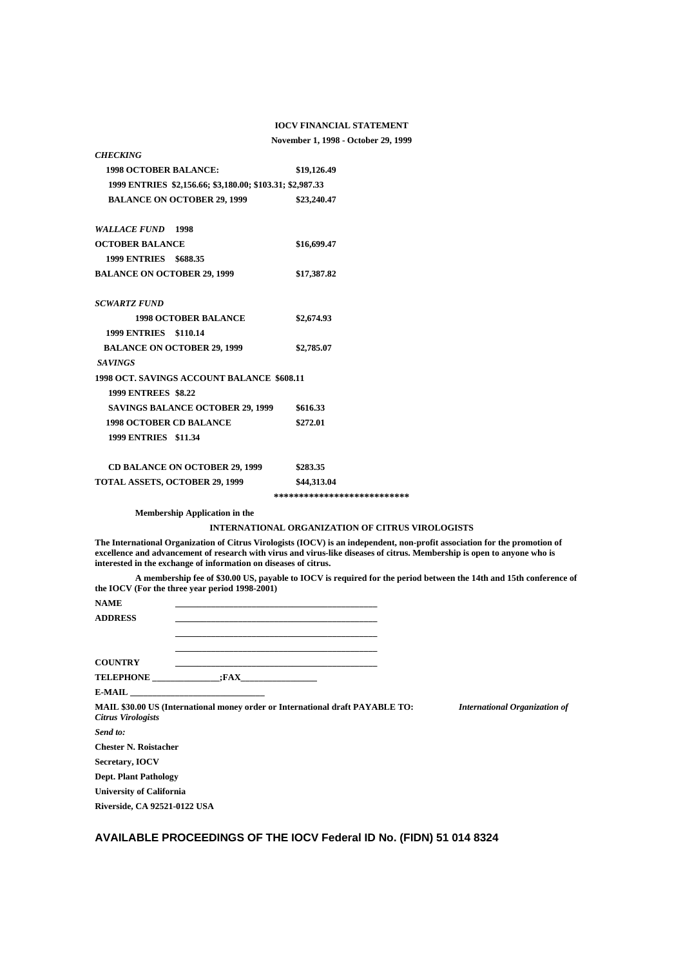### **IOCV FINANCIAL STATEMENT**

# **November 1, 1998 - October 29, 1999**

| <b>1998 OCTOBER BALANCE:</b>                                                                          | \$19,126.49                                             |
|-------------------------------------------------------------------------------------------------------|---------------------------------------------------------|
| 1999 ENTRIES \$2,156.66; \$3,180.00; \$103.31; \$2,987.33                                             |                                                         |
| <b>BALANCE ON OCTOBER 29, 1999</b>                                                                    | \$23,240.47                                             |
|                                                                                                       |                                                         |
| <b>WALLACE FUND 1998</b>                                                                              |                                                         |
| <b>OCTOBER BALANCE</b>                                                                                | \$16,699.47                                             |
| 1999 ENTRIES \$688.35                                                                                 |                                                         |
| <b>BALANCE ON OCTOBER 29, 1999</b>                                                                    | \$17,387.82                                             |
| <b>SCWARTZ FUND</b>                                                                                   |                                                         |
| <b>1998 OCTOBER BALANCE</b>                                                                           | \$2,674.93                                              |
| 1999 ENTRIES \$110.14                                                                                 |                                                         |
| <b>BALANCE ON OCTOBER 29, 1999</b>                                                                    | \$2,785.07                                              |
| <b>SAVINGS</b>                                                                                        |                                                         |
| <b>1998 OCT. SAVINGS ACCOUNT BALANCE \$608.11</b>                                                     |                                                         |
| <b>1999 ENTREES \$8.22</b>                                                                            |                                                         |
| <b>SAVINGS BALANCE OCTOBER 29, 1999</b>                                                               | \$616.33                                                |
| <b>1998 OCTOBER CD BALANCE</b>                                                                        | \$272.01                                                |
| 1999 ENTRIES \$11.34                                                                                  |                                                         |
| <b>CD BALANCE ON OCTOBER 29, 1999</b>                                                                 | \$283.35                                                |
| TOTAL ASSETS, OCTOBER 29, 1999                                                                        | \$44,313.04                                             |
|                                                                                                       | ***************************                             |
| <b>Membership Application in the</b>                                                                  |                                                         |
|                                                                                                       | <b>INTERNATIONAL ORGANIZATION OF CITRUS VIROLOGISTS</b> |
| The International Organization of Citrus Virologists (IOCV) is an independent, non-profit association |                                                         |

*CHECKING*

**The International Organization of Citrus Virologists (IOCV) is an independent, non-profit association for the promotion of excellence and advancement of research with virus and virus-like diseases of citrus. Membership is open to anyone who is interested in the exchange of information on diseases of citrus.** 

 **A membership fee of \$30.00 US, payable to IOCV is required for the period between the 14th and 15th conference of the IOCV (For the three year period 1998-2001)** 

| <b>NAME</b><br><b>ADDRESS</b>       |                | <u> 1989 - Johann John Stoff, deutscher Stoff, der Stoff, der Stoff, der Stoff, der Stoff, der Stoff, der Stoff, </u> |                                      |
|-------------------------------------|----------------|-----------------------------------------------------------------------------------------------------------------------|--------------------------------------|
| <b>COUNTRY</b>                      |                | <u> 1989 - Johann Stoff, deutscher Stoff, der Stoff, der Stoff, der Stoff, der Stoff, der Stoff, der Stoff, der S</u> |                                      |
|                                     | TELEPHONE :FAX |                                                                                                                       |                                      |
|                                     | $E-MAIL$       |                                                                                                                       |                                      |
| <b>Citrus Virologists</b>           |                | <b>MAIL \$30.00 US (International money order or International draft PAYABLE TO:</b>                                  | <b>International Organization of</b> |
| Send to:                            |                |                                                                                                                       |                                      |
| <b>Chester N. Roistacher</b>        |                |                                                                                                                       |                                      |
| Secretary, <b>IOCV</b>              |                |                                                                                                                       |                                      |
| <b>Dept. Plant Pathology</b>        |                |                                                                                                                       |                                      |
| <b>University of California</b>     |                |                                                                                                                       |                                      |
| <b>Riverside, CA 92521-0122 USA</b> |                |                                                                                                                       |                                      |

# **AVAILABLE PROCEEDINGS OF THE IOCV Federal ID No. (FIDN) 51 014 8324**